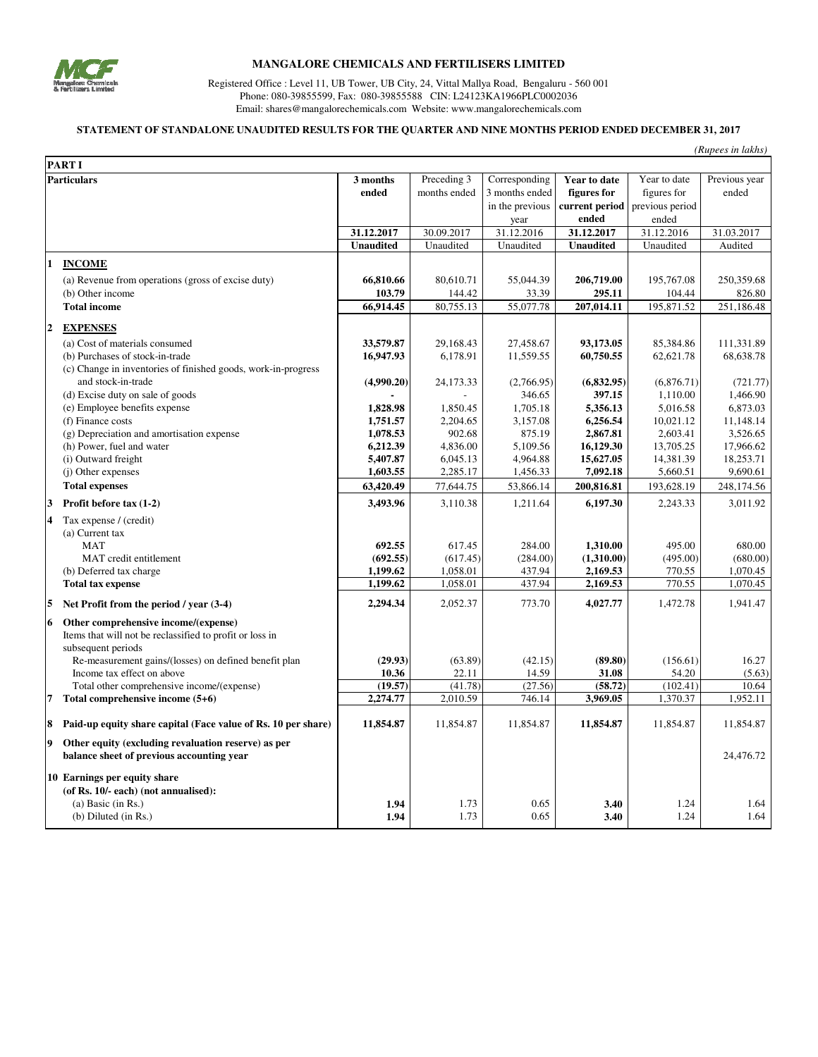

## **MANGALORE CHEMICALS AND FERTILISERS LIMITED**

Registered Office : Level 11, UB Tower, UB City, 24, Vittal Mallya Road, Bengaluru - 560 001 Phone: 080-39855599, Fax: 080-39855588 CIN: L24123KA1966PLC0002036 Email: shares@mangalorechemicals.com Website: www.mangalorechemicals.com

## **STATEMENT OF STANDALONE UNAUDITED RESULTS FOR THE QUARTER AND NINE MONTHS PERIOD ENDED DECEMBER 31, 2017**

| (Rupees in lakhs) |                                                                                                                           |                        |                       |                        |                        |                        |                         |
|-------------------|---------------------------------------------------------------------------------------------------------------------------|------------------------|-----------------------|------------------------|------------------------|------------------------|-------------------------|
|                   | PART I                                                                                                                    |                        |                       |                        |                        |                        |                         |
|                   | <b>Particulars</b>                                                                                                        | 3 months               | Preceding 3           | Corresponding          | Year to date           | Year to date           | Previous year           |
|                   |                                                                                                                           | ended                  | months ended          | 3 months ended         | figures for            | figures for            | ended                   |
|                   |                                                                                                                           |                        |                       | in the previous        | current period         | previous period        |                         |
|                   |                                                                                                                           |                        |                       | year                   | ended                  | ended                  |                         |
|                   |                                                                                                                           | 31.12.2017             | 30.09.2017            | 31.12.2016             | 31.12.2017             | 31.12.2016             | 31.03.2017              |
|                   |                                                                                                                           | <b>Unaudited</b>       | Unaudited             | Unaudited              | <b>Unaudited</b>       | Unaudited              | Audited                 |
| $\mathbf{1}$      | <b>INCOME</b>                                                                                                             |                        |                       |                        |                        |                        |                         |
|                   | (a) Revenue from operations (gross of excise duty)                                                                        | 66,810.66              | 80,610.71             | 55,044.39              | 206,719.00             | 195,767.08             | 250,359.68              |
|                   | (b) Other income                                                                                                          | 103.79                 | 144.42                | 33.39                  | 295.11                 | 104.44                 | 826.80                  |
|                   | <b>Total income</b>                                                                                                       | 66,914.45              | 80,755.13             | 55,077.78              | 207,014.11             | 195,871.52             | 251,186.48              |
| $\mathbf{2}$      |                                                                                                                           |                        |                       |                        |                        |                        |                         |
|                   | <b>EXPENSES</b>                                                                                                           |                        |                       |                        |                        |                        |                         |
|                   | (a) Cost of materials consumed                                                                                            | 33,579.87<br>16,947.93 | 29,168.43<br>6,178.91 | 27,458.67<br>11,559.55 | 93,173.05<br>60,750.55 | 85,384.86<br>62,621.78 | 111,331.89<br>68,638.78 |
|                   | (b) Purchases of stock-in-trade<br>(c) Change in inventories of finished goods, work-in-progress                          |                        |                       |                        |                        |                        |                         |
|                   | and stock-in-trade                                                                                                        | (4,990.20)             | 24,173.33             | (2,766.95)             | (6,832.95)             | (6,876.71)             | (721.77)                |
|                   | (d) Excise duty on sale of goods                                                                                          |                        |                       | 346.65                 | 397.15                 | 1,110.00               | 1,466.90                |
|                   | (e) Employee benefits expense                                                                                             | 1,828.98               | 1.850.45              | 1.705.18               | 5,356.13               | 5.016.58               | 6.873.03                |
|                   | (f) Finance costs                                                                                                         | 1,751.57               | 2,204.65              | 3,157.08               | 6,256.54               | 10,021.12              | 11,148.14               |
|                   | (g) Depreciation and amortisation expense                                                                                 | 1,078.53               | 902.68                | 875.19                 | 2,867.81               | 2,603.41               | 3,526.65                |
|                   | (h) Power, fuel and water                                                                                                 | 6,212.39               | 4,836.00              | 5,109.56               | 16,129.30              | 13,705.25              | 17,966.62               |
|                   | (i) Outward freight                                                                                                       | 5,407.87               | 6,045.13              | 4,964.88               | 15,627.05              | 14,381.39              | 18,253.71               |
|                   | (j) Other expenses                                                                                                        | 1,603.55               | 2,285.17              | 1,456.33               | 7,092.18               | 5,660.51               | 9,690.61                |
|                   | <b>Total expenses</b>                                                                                                     | 63,420.49              | 77,644.75             | 53,866.14              | 200,816.81             | 193,628.19             | 248,174.56              |
| 3                 | Profit before tax (1-2)                                                                                                   | 3,493.96               | 3,110.38              | 1,211.64               | 6,197.30               | 2,243.33               | 3,011.92                |
| 4                 | Tax expense / (credit)                                                                                                    |                        |                       |                        |                        |                        |                         |
|                   | (a) Current tax                                                                                                           |                        |                       |                        |                        |                        |                         |
|                   | <b>MAT</b>                                                                                                                | 692.55                 | 617.45                | 284.00                 | 1,310.00               | 495.00                 | 680.00                  |
|                   | MAT credit entitlement                                                                                                    | (692.55)               | (617.45)              | (284.00)               | (1,310.00)             | (495.00)               | (680.00)                |
|                   | (b) Deferred tax charge                                                                                                   | 1,199.62               | 1,058.01              | 437.94                 | 2,169.53               | 770.55                 | 1,070.45                |
|                   | <b>Total tax expense</b>                                                                                                  | 1,199.62               | 1,058.01              | 437.94                 | 2,169.53               | 770.55                 | 1,070.45                |
| 5                 | Net Profit from the period / year (3-4)                                                                                   | 2,294.34               | 2,052.37              | 773.70                 | 4,027.77               | 1,472.78               | 1,941.47                |
| 6                 | Other comprehensive income/(expense)                                                                                      |                        |                       |                        |                        |                        |                         |
|                   | Items that will not be reclassified to profit or loss in                                                                  |                        |                       |                        |                        |                        |                         |
|                   | subsequent periods                                                                                                        |                        |                       |                        |                        |                        |                         |
|                   | Re-measurement gains/(losses) on defined benefit plan                                                                     | (29.93)                | (63.89)               | (42.15)                | (89.80)                | (156.61)               | 16.27                   |
|                   | Income tax effect on above                                                                                                | 10.36                  | 22.11                 | 14.59                  | 31.08                  | 54.20                  | (5.63)                  |
|                   | Total other comprehensive income/(expense)                                                                                | (19.57)                | (41.78)               | (27.56)                | (58.72)                | (102.41)               | 10.64                   |
| 7                 | Total comprehensive income (5+6)                                                                                          | 2,274.77               | 2,010.59              | 746.14                 | 3,969.05               | 1,370.37               | 1,952.11                |
| 8                 | Paid-up equity share capital (Face value of Rs. 10 per share)                                                             | 11,854.87              | 11,854.87             | 11,854.87              | 11,854.87              | 11,854.87              | 11,854.87               |
| 9                 | Other equity (excluding revaluation reserve) as per<br>balance sheet of previous accounting year                          |                        |                       |                        |                        |                        | 24,476.72               |
|                   | 10 Earnings per equity share<br>(of Rs. 10/- each) (not annualised):<br>(a) Basic (in $Rs.$ )<br>$(b)$ Diluted $(in Rs.)$ | 1.94<br>1.94           | 1.73<br>1.73          | 0.65<br>0.65           | 3.40<br>3.40           | 1.24<br>1.24           | 1.64<br>1.64            |